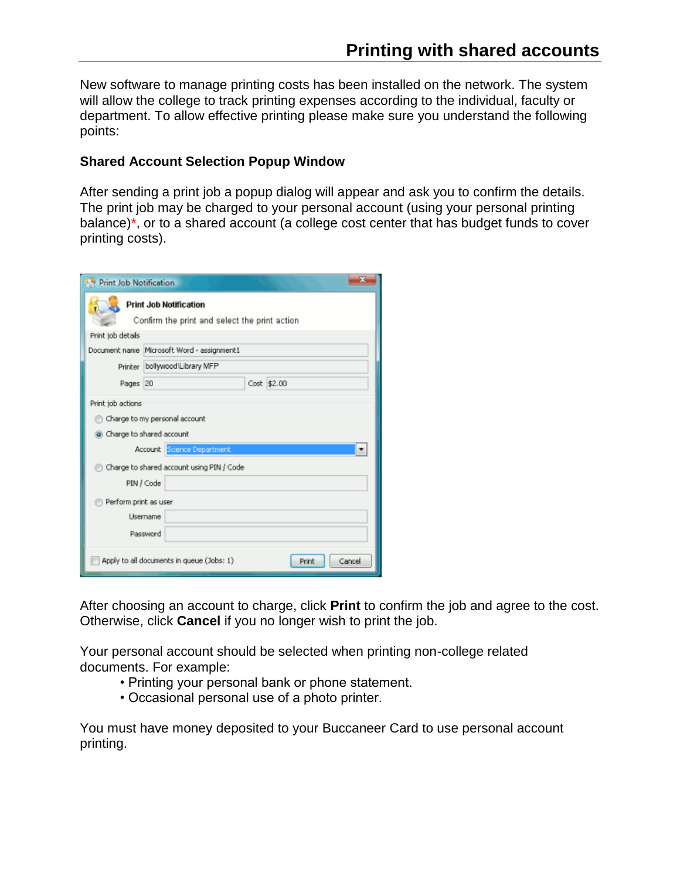New software to manage printing costs has been installed on the network. The system will allow the college to track printing expenses according to the individual, faculty or department. To allow effective printing please make sure you understand the following points:

## **Shared Account Selection Popup Window**

After sending a print job a popup dialog will appear and ask you to confirm the details. The print job may be charged to your personal account (using your personal printing balance)\*, or to a shared account (a college cost center that has budget funds to cover printing costs).

| <b>Print Job Notification</b>                                |                                            |
|--------------------------------------------------------------|--------------------------------------------|
| <b>Print Job Notification</b>                                |                                            |
| Confirm the print and select the print action                |                                            |
| Print job details                                            |                                            |
|                                                              | Document name Microsoft Word - assignment1 |
|                                                              | Printer bollywood\Library MFP              |
| Pages 20                                                     | Cost \$2.00                                |
| Print job actions                                            |                                            |
| Charge to my personal account                                |                                            |
| Charge to shared account                                     |                                            |
|                                                              | Account Science Department                 |
| Charge to shared account using PIN / Code                    |                                            |
| PIN / Code                                                   |                                            |
| Perform print as user                                        |                                            |
| Username                                                     |                                            |
| Password                                                     |                                            |
| Apply to all documents in queue (Jobs: 1)<br>Cancel<br>Print |                                            |

After choosing an account to charge, click **Print** to confirm the job and agree to the cost. Otherwise, click **Cancel** if you no longer wish to print the job.

Your personal account should be selected when printing non-college related documents. For example:

- Printing your personal bank or phone statement.
- Occasional personal use of a photo printer.

You must have money deposited to your Buccaneer Card to use personal account printing.